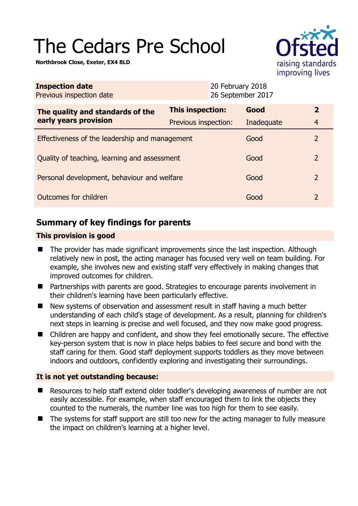# The Cedars Pre School

**Northbrook Close, Exeter, EX4 8LD** 



| <b>Inspection date</b><br>Previous inspection date        |                         | 20 February 2018<br>26 September 2017 |            |              |
|-----------------------------------------------------------|-------------------------|---------------------------------------|------------|--------------|
| The quality and standards of the<br>early years provision | <b>This inspection:</b> |                                       | Good       | $\mathbf{2}$ |
|                                                           | Previous inspection:    |                                       | Inadequate | 4            |
| Effectiveness of the leadership and management            |                         |                                       | Good       | 2            |
| Quality of teaching, learning and assessment              |                         |                                       | Good       | 2            |
| Personal development, behaviour and welfare               |                         |                                       | Good       | 2            |
| Outcomes for children                                     |                         |                                       | Good       | 2            |

# **Summary of key findings for parents**

## **This provision is good**

- The provider has made significant improvements since the last inspection. Although relatively new in post, the acting manager has focused very well on team building. For example, she involves new and existing staff very effectively in making changes that improved outcomes for children.
- Partnerships with parents are good. Strategies to encourage parents involvement in their children's learning have been particularly effective.
- New systems of observation and assessment result in staff having a much better understanding of each child's stage of development. As a result, planning for children's next steps in learning is precise and well focused, and they now make good progress.
- Children are happy and confident, and show they feel emotionally secure. The effective key-person system that is now in place helps babies to feel secure and bond with the staff caring for them. Good staff deployment supports toddlers as they move between indoors and outdoors, confidently exploring and investigating their surroundings.

## **It is not yet outstanding because:**

- Resources to help staff extend older toddler's developing awareness of number are not easily accessible. For example, when staff encouraged them to link the objects they counted to the numerals, the number line was too high for them to see easily.
- The systems for staff support are still too new for the acting manager to fully measure the impact on children's learning at a higher level.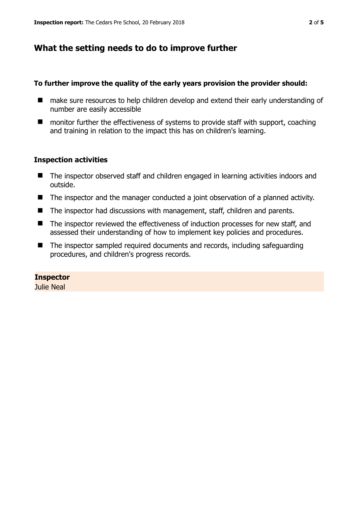# **What the setting needs to do to improve further**

#### **To further improve the quality of the early years provision the provider should:**

- make sure resources to help children develop and extend their early understanding of number are easily accessible
- monitor further the effectiveness of systems to provide staff with support, coaching and training in relation to the impact this has on children's learning.

## **Inspection activities**

- The inspector observed staff and children engaged in learning activities indoors and outside.
- The inspector and the manager conducted a joint observation of a planned activity.
- The inspector had discussions with management, staff, children and parents.
- The inspector reviewed the effectiveness of induction processes for new staff, and assessed their understanding of how to implement key policies and procedures.
- The inspector sampled required documents and records, including safeguarding procedures, and children's progress records.

## **Inspector**

Julie Neal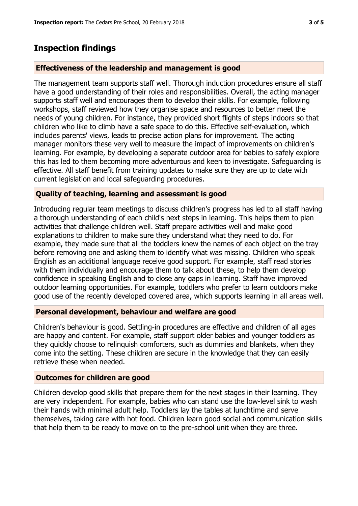## **Inspection findings**

#### **Effectiveness of the leadership and management is good**

The management team supports staff well. Thorough induction procedures ensure all staff have a good understanding of their roles and responsibilities. Overall, the acting manager supports staff well and encourages them to develop their skills. For example, following workshops, staff reviewed how they organise space and resources to better meet the needs of young children. For instance, they provided short flights of steps indoors so that children who like to climb have a safe space to do this. Effective self-evaluation, which includes parents' views, leads to precise action plans for improvement. The acting manager monitors these very well to measure the impact of improvements on children's learning. For example, by developing a separate outdoor area for babies to safely explore this has led to them becoming more adventurous and keen to investigate. Safeguarding is effective. All staff benefit from training updates to make sure they are up to date with current legislation and local safeguarding procedures.

#### **Quality of teaching, learning and assessment is good**

Introducing regular team meetings to discuss children's progress has led to all staff having a thorough understanding of each child's next steps in learning. This helps them to plan activities that challenge children well. Staff prepare activities well and make good explanations to children to make sure they understand what they need to do. For example, they made sure that all the toddlers knew the names of each object on the tray before removing one and asking them to identify what was missing. Children who speak English as an additional language receive good support. For example, staff read stories with them individually and encourage them to talk about these, to help them develop confidence in speaking English and to close any gaps in learning. Staff have improved outdoor learning opportunities. For example, toddlers who prefer to learn outdoors make good use of the recently developed covered area, which supports learning in all areas well.

#### **Personal development, behaviour and welfare are good**

Children's behaviour is good. Settling-in procedures are effective and children of all ages are happy and content. For example, staff support older babies and younger toddlers as they quickly choose to relinquish comforters, such as dummies and blankets, when they come into the setting. These children are secure in the knowledge that they can easily retrieve these when needed.

#### **Outcomes for children are good**

Children develop good skills that prepare them for the next stages in their learning. They are very independent. For example, babies who can stand use the low-level sink to wash their hands with minimal adult help. Toddlers lay the tables at lunchtime and serve themselves, taking care with hot food. Children learn good social and communication skills that help them to be ready to move on to the pre-school unit when they are three.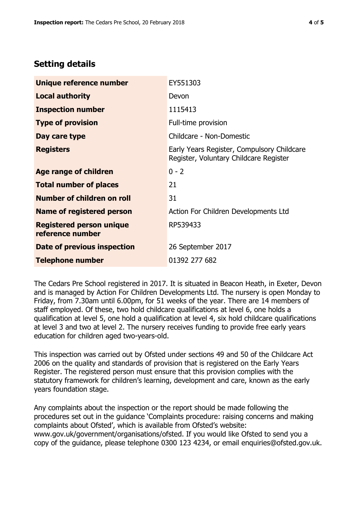# **Setting details**

| Unique reference number                             | EY551303                                                                             |  |
|-----------------------------------------------------|--------------------------------------------------------------------------------------|--|
| <b>Local authority</b>                              | Devon                                                                                |  |
| <b>Inspection number</b>                            | 1115413                                                                              |  |
| <b>Type of provision</b>                            | Full-time provision                                                                  |  |
| Day care type                                       | Childcare - Non-Domestic                                                             |  |
| <b>Registers</b>                                    | Early Years Register, Compulsory Childcare<br>Register, Voluntary Childcare Register |  |
| Age range of children                               | $0 - 2$                                                                              |  |
| <b>Total number of places</b>                       | 21                                                                                   |  |
| Number of children on roll                          | 31                                                                                   |  |
| Name of registered person                           | Action For Children Developments Ltd                                                 |  |
| <b>Registered person unique</b><br>reference number | RP539433                                                                             |  |
| Date of previous inspection                         | 26 September 2017                                                                    |  |
| <b>Telephone number</b>                             | 01392 277 682                                                                        |  |

The Cedars Pre School registered in 2017. It is situated in Beacon Heath, in Exeter, Devon and is managed by Action For Children Developments Ltd. The nursery is open Monday to Friday, from 7.30am until 6.00pm, for 51 weeks of the year. There are 14 members of staff employed. Of these, two hold childcare qualifications at level 6, one holds a qualification at level 5, one hold a qualification at level 4, six hold childcare qualifications at level 3 and two at level 2. The nursery receives funding to provide free early years education for children aged two-years-old.

This inspection was carried out by Ofsted under sections 49 and 50 of the Childcare Act 2006 on the quality and standards of provision that is registered on the Early Years Register. The registered person must ensure that this provision complies with the statutory framework for children's learning, development and care, known as the early years foundation stage.

Any complaints about the inspection or the report should be made following the procedures set out in the guidance 'Complaints procedure: raising concerns and making complaints about Ofsted', which is available from Ofsted's website: www.gov.uk/government/organisations/ofsted. If you would like Ofsted to send you a copy of the guidance, please telephone 0300 123 4234, or email enquiries@ofsted.gov.uk.